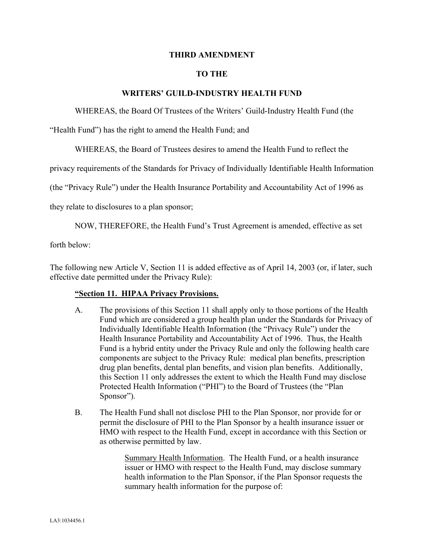## **THIRD AMENDMENT**

## **TO THE**

## **WRITERS' GUILD-INDUSTRY HEALTH FUND**

WHEREAS, the Board Of Trustees of the Writers' Guild-Industry Health Fund (the

"Health Fund") has the right to amend the Health Fund; and

WHEREAS, the Board of Trustees desires to amend the Health Fund to reflect the

privacy requirements of the Standards for Privacy of Individually Identifiable Health Information

(the "Privacy Rule") under the Health Insurance Portability and Accountability Act of 1996 as

they relate to disclosures to a plan sponsor;

NOW, THEREFORE, the Health Fund's Trust Agreement is amended, effective as set

forth below:

The following new Article V, Section 11 is added effective as of April 14, 2003 (or, if later, such effective date permitted under the Privacy Rule):

## **"Section 11. HIPAA Privacy Provisions.**

- A. The provisions of this Section 11 shall apply only to those portions of the Health Fund which are considered a group health plan under the Standards for Privacy of Individually Identifiable Health Information (the "Privacy Rule") under the Health Insurance Portability and Accountability Act of 1996. Thus, the Health Fund is a hybrid entity under the Privacy Rule and only the following health care components are subject to the Privacy Rule: medical plan benefits, prescription drug plan benefits, dental plan benefits, and vision plan benefits. Additionally, this Section 11 only addresses the extent to which the Health Fund may disclose Protected Health Information ("PHI") to the Board of Trustees (the "Plan Sponsor").
- B. The Health Fund shall not disclose PHI to the Plan Sponsor, nor provide for or permit the disclosure of PHI to the Plan Sponsor by a health insurance issuer or HMO with respect to the Health Fund, except in accordance with this Section or as otherwise permitted by law.

Summary Health Information. The Health Fund, or a health insurance issuer or HMO with respect to the Health Fund, may disclose summary health information to the Plan Sponsor, if the Plan Sponsor requests the summary health information for the purpose of: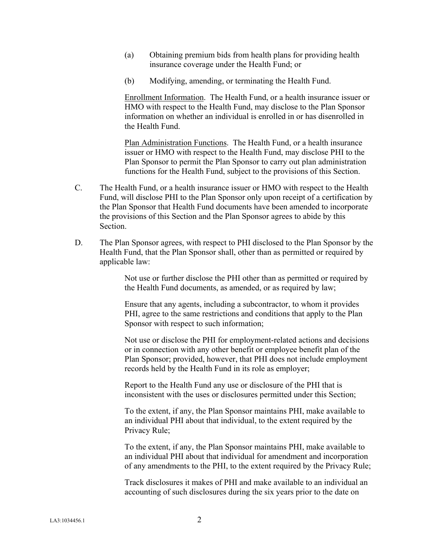- (a) Obtaining premium bids from health plans for providing health insurance coverage under the Health Fund; or
- (b) Modifying, amending, or terminating the Health Fund.

Enrollment Information. The Health Fund, or a health insurance issuer or HMO with respect to the Health Fund, may disclose to the Plan Sponsor information on whether an individual is enrolled in or has disenrolled in the Health Fund.

Plan Administration Functions. The Health Fund, or a health insurance issuer or HMO with respect to the Health Fund, may disclose PHI to the Plan Sponsor to permit the Plan Sponsor to carry out plan administration functions for the Health Fund, subject to the provisions of this Section.

- C. The Health Fund, or a health insurance issuer or HMO with respect to the Health Fund, will disclose PHI to the Plan Sponsor only upon receipt of a certification by the Plan Sponsor that Health Fund documents have been amended to incorporate the provisions of this Section and the Plan Sponsor agrees to abide by this Section.
- D. The Plan Sponsor agrees, with respect to PHI disclosed to the Plan Sponsor by the Health Fund, that the Plan Sponsor shall, other than as permitted or required by applicable law:

Not use or further disclose the PHI other than as permitted or required by the Health Fund documents, as amended, or as required by law;

Ensure that any agents, including a subcontractor, to whom it provides PHI, agree to the same restrictions and conditions that apply to the Plan Sponsor with respect to such information;

Not use or disclose the PHI for employment-related actions and decisions or in connection with any other benefit or employee benefit plan of the Plan Sponsor; provided, however, that PHI does not include employment records held by the Health Fund in its role as employer;

Report to the Health Fund any use or disclosure of the PHI that is inconsistent with the uses or disclosures permitted under this Section;

To the extent, if any, the Plan Sponsor maintains PHI, make available to an individual PHI about that individual, to the extent required by the Privacy Rule;

To the extent, if any, the Plan Sponsor maintains PHI, make available to an individual PHI about that individual for amendment and incorporation of any amendments to the PHI, to the extent required by the Privacy Rule;

Track disclosures it makes of PHI and make available to an individual an accounting of such disclosures during the six years prior to the date on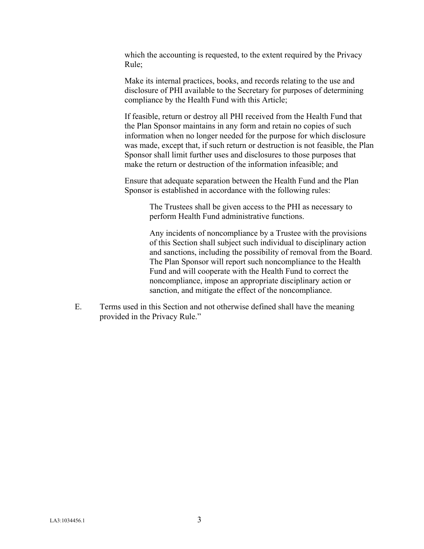which the accounting is requested, to the extent required by the Privacy Rule;

Make its internal practices, books, and records relating to the use and disclosure of PHI available to the Secretary for purposes of determining compliance by the Health Fund with this Article;

If feasible, return or destroy all PHI received from the Health Fund that the Plan Sponsor maintains in any form and retain no copies of such information when no longer needed for the purpose for which disclosure was made, except that, if such return or destruction is not feasible, the Plan Sponsor shall limit further uses and disclosures to those purposes that make the return or destruction of the information infeasible; and

Ensure that adequate separation between the Health Fund and the Plan Sponsor is established in accordance with the following rules:

> The Trustees shall be given access to the PHI as necessary to perform Health Fund administrative functions.

Any incidents of noncompliance by a Trustee with the provisions of this Section shall subject such individual to disciplinary action and sanctions, including the possibility of removal from the Board. The Plan Sponsor will report such noncompliance to the Health Fund and will cooperate with the Health Fund to correct the noncompliance, impose an appropriate disciplinary action or sanction, and mitigate the effect of the noncompliance.

E. Terms used in this Section and not otherwise defined shall have the meaning provided in the Privacy Rule."